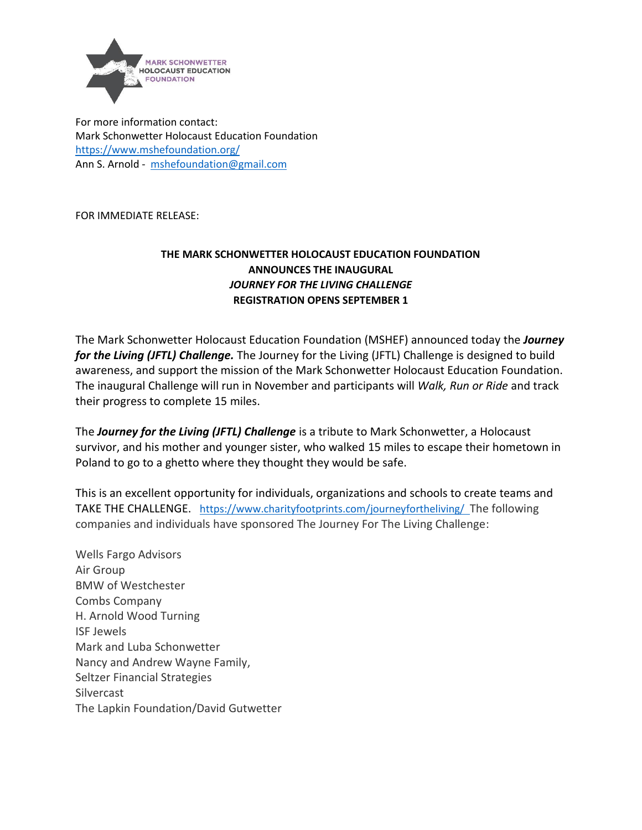

For more information contact: Mark Schonwetter Holocaust Education Foundation <https://www.mshefoundation.org/> Ann S. Arnold - [mshefoundation@gmail.com](mailto:mshefoundation@gmail.com)

FOR IMMEDIATE RELEASE:

## **THE MARK SCHONWETTER HOLOCAUST EDUCATION FOUNDATION ANNOUNCES THE INAUGURAL**  *JOURNEY FOR THE LIVING CHALLENGE* **REGISTRATION OPENS SEPTEMBER 1**

The Mark Schonwetter Holocaust Education Foundation (MSHEF) announced today the *Journey for the Living (JFTL) Challenge.* The Journey for the Living (JFTL) Challenge is designed to build awareness, and support the mission of the Mark Schonwetter Holocaust Education Foundation. The inaugural Challenge will run in November and participants will *Walk, Run or Ride* and track their progress to complete 15 miles.

The *Journey for the Living (JFTL) Challenge* is a tribute to Mark Schonwetter, a Holocaust survivor, and his mother and younger sister, who walked 15 miles to escape their hometown in Poland to go to a ghetto where they thought they would be safe.

This is an excellent opportunity for individuals, organizations and schools to create teams and TAKE THE CHALLENGE. <https://www.charityfootprints.com/journeyfortheliving/>The following companies and individuals have sponsored The Journey For The Living Challenge:

Wells Fargo Advisors Air Group BMW of Westchester Combs Company H. Arnold Wood Turning ISF Jewels Mark and Luba Schonwetter Nancy and Andrew Wayne Family, Seltzer Financial Strategies Silvercast The Lapkin Foundation/David Gutwetter